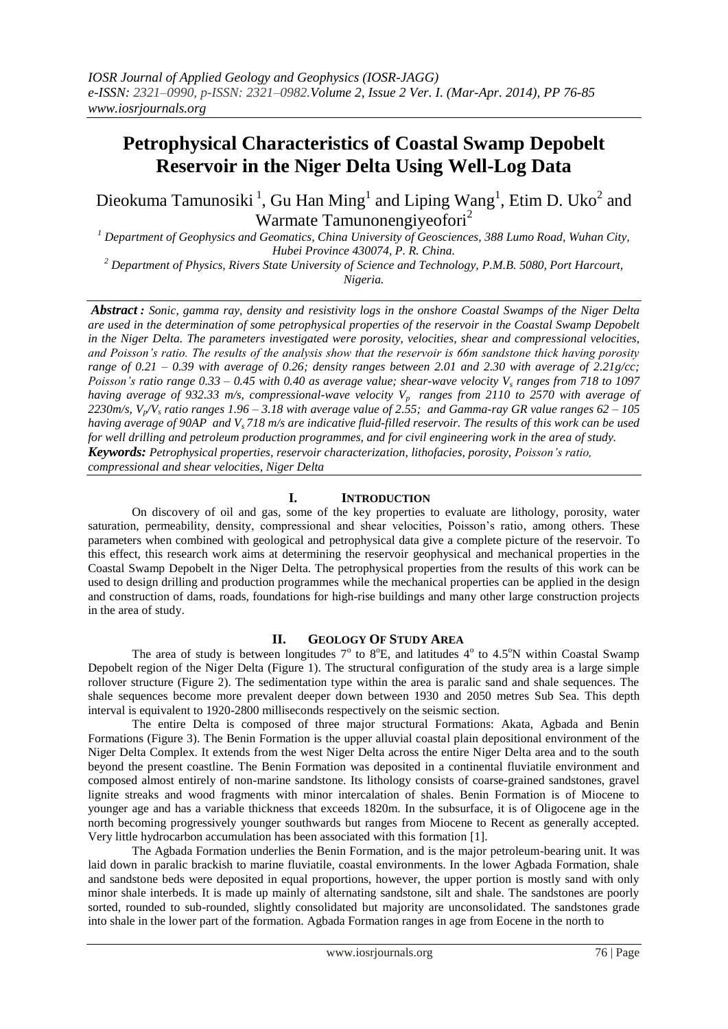# **Petrophysical Characteristics of Coastal Swamp Depobelt Reservoir in the Niger Delta Using Well-Log Data**

Dieokuma Tamunosiki<sup>1</sup>, Gu Han Ming<sup>1</sup> and Liping Wang<sup>1</sup>, Etim D. Uko<sup>2</sup> and Warmate Tamunonengiyeofori<sup>2</sup>

*<sup>1</sup> Department of Geophysics and Geomatics, China University of Geosciences, 388 Lumo Road, Wuhan City, Hubei Province 430074, P. R. China.*

*<sup>2</sup> Department of Physics, Rivers State University of Science and Technology, P.M.B. 5080, Port Harcourt, Nigeria.*

*Abstract : Sonic, gamma ray, density and resistivity logs in the onshore Coastal Swamps of the Niger Delta are used in the determination of some petrophysical properties of the reservoir in the Coastal Swamp Depobelt in the Niger Delta. The parameters investigated were porosity, velocities, shear and compressional velocities, and Poisson's ratio. The results of the analysis show that the reservoir is 66m sandstone thick having porosity range of 0.21 – 0.39 with average of 0.26; density ranges between 2.01 and 2.30 with average of 2.21g/cc; Poisson's ratio range 0.33 – 0.45 with 0.40 as average value; shear-wave velocity V<sup>s</sup> ranges from 718 to 1097 having average of 932.33 m/s, compressional-wave velocity Vp ranges from 2110 to 2570 with average of 2230m/s, Vp/V<sup>s</sup> ratio ranges 1.96 – 3.18 with average value of 2.55; and Gamma-ray GR value ranges 62 – 105 having average of 90AP and Vs 718 m/s are indicative fluid-filled reservoir. The results of this work can be used for well drilling and petroleum production programmes, and for civil engineering work in the area of study. Keywords: Petrophysical properties, reservoir characterization, lithofacies, porosity, Poisson's ratio, compressional and shear velocities, Niger Delta*

# **I. INTRODUCTION**

On discovery of oil and gas, some of the key properties to evaluate are [lithology,](http://en.wikipedia.org/wiki/Lithology) [porosity,](http://en.wikipedia.org/wiki/Porosity) [water](http://en.wikipedia.org/wiki/Water_saturation)  [saturation,](http://en.wikipedia.org/wiki/Water_saturation) [permeability,](http://en.wikipedia.org/wiki/Permeability_%28earth_sciences%29) [density,](http://en.wikipedia.org/wiki/Density) compressional and shear velocities, Poisson's ratio, among others. These parameters when combined with geological and petrophysical data give a complete picture of the reservoir. To this effect, this research work aims at determining the reservoir geophysical and mechanical properties in the Coastal Swamp Depobelt in the Niger Delta. The petrophysical properties from the results of this work can be used to design drilling and production programmes while the mechanical properties can be applied in the design and construction of dams, roads, foundations for high-rise buildings and many other large construction projects in the area of study.

# **II. GEOLOGY OF STUDY AREA**

The area of study is between longitudes  $7^{\circ}$  to  $8^{\circ}E$ , and latitudes  $4^{\circ}$  to  $4.5^{\circ}N$  within Coastal Swamp Depobelt region of the Niger Delta (Figure 1). The structural configuration of the study area is a large simple rollover structure (Figure 2). The sedimentation type within the area is paralic sand and shale sequences. The shale sequences become more prevalent deeper down between 1930 and 2050 metres Sub Sea. This depth interval is equivalent to 1920-2800 milliseconds respectively on the seismic section.

The entire Delta is composed of three major structural Formations: Akata, Agbada and Benin Formations (Figure 3). The Benin Formation is the upper alluvial coastal plain depositional environment of the Niger Delta Complex. It extends from the west Niger Delta across the entire Niger Delta area and to the south beyond the present coastline. The Benin Formation was deposited in a continental fluviatile environment and composed almost entirely of non-marine sandstone. Its lithology consists of coarse-grained sandstones, gravel lignite streaks and wood fragments with minor intercalation of shales. Benin Formation is of Miocene to younger age and has a variable thickness that exceeds 1820m. In the subsurface, it is of Oligocene age in the north becoming progressively younger southwards but ranges from Miocene to Recent as generally accepted. Very little hydrocarbon accumulation has been associated with this formation [1].

The Agbada Formation underlies the Benin Formation, and is the major petroleum-bearing unit. It was laid down in paralic brackish to marine fluviatile, coastal environments. In the lower Agbada Formation, shale and sandstone beds were deposited in equal proportions, however, the upper portion is mostly sand with only minor shale interbeds. It is made up mainly of alternating sandstone, silt and shale. The sandstones are poorly sorted, rounded to sub-rounded, slightly consolidated but majority are unconsolidated. The sandstones grade into shale in the lower part of the formation. Agbada Formation ranges in age from Eocene in the north to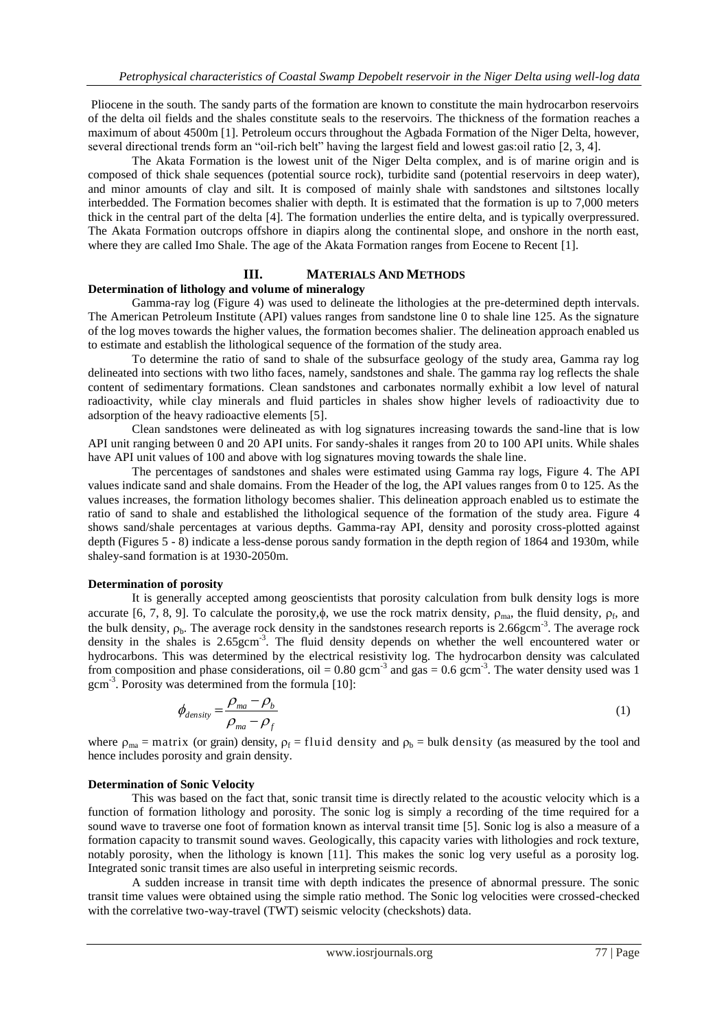Pliocene in the south. The sandy parts of the formation are known to constitute the main hydrocarbon reservoirs of the delta oil fields and the shales constitute seals to the reservoirs. The thickness of the formation reaches a maximum of about 4500m [1]. Petroleum occurs throughout the Agbada Formation of the Niger Delta, however, several directional trends form an "oil-rich belt" having the largest field and lowest gas:oil ratio [2, 3, 4].

The Akata Formation is the lowest unit of the Niger Delta complex, and is of marine origin and is composed of thick shale sequences (potential source rock), turbidite sand (potential reservoirs in deep water), and minor amounts of clay and silt. It is composed of mainly shale with sandstones and siltstones locally interbedded. The Formation becomes shalier with depth. It is estimated that the formation is up to 7,000 meters thick in the central part of the delta [4]. The formation underlies the entire delta, and is typically overpressured. The Akata Formation outcrops offshore in diapirs along the continental slope, and onshore in the north east, where they are called Imo Shale. The age of the Akata Formation ranges from Eocene to Recent [1].

# **III. MATERIALS AND METHODS**

# **Determination of lithology and volume of mineralogy**

Gamma-ray log (Figure 4) was used to delineate the lithologies at the pre-determined depth intervals. The American Petroleum Institute (API) values ranges from sandstone line 0 to shale line 125. As the signature of the log moves towards the higher values, the formation becomes shalier. The delineation approach enabled us to estimate and establish the lithological sequence of the formation of the study area.

To determine the ratio of sand to shale of the subsurface geology of the study area, Gamma ray log delineated into sections with two litho faces, namely, sandstones and shale. The gamma ray log reflects the shale content of sedimentary formations. Clean sandstones and carbonates normally exhibit a low level of natural radioactivity, while clay minerals and fluid particles in shales show higher levels of radioactivity due to adsorption of the heavy radioactive elements [5].

Clean sandstones were delineated as with log signatures increasing towards the sand-line that is low API unit ranging between 0 and 20 API units. For sandy-shales it ranges from 20 to 100 API units. While shales have API unit values of 100 and above with log signatures moving towards the shale line.

The percentages of sandstones and shales were estimated using Gamma ray logs, Figure 4. The API values indicate sand and shale domains. From the Header of the log, the API values ranges from 0 to 125. As the values increases, the formation lithology becomes shalier. This delineation approach enabled us to estimate the ratio of sand to shale and established the lithological sequence of the formation of the study area. Figure 4 shows sand/shale percentages at various depths. Gamma-ray API, density and porosity cross-plotted against depth (Figures 5 - 8) indicate a less-dense porous sandy formation in the depth region of 1864 and 1930m, while shaley-sand formation is at 1930-2050m.

### **Determination of porosity**

It is generally accepted among geoscientists that porosity calculation from bulk density logs is more accurate [6, 7, 8, 9]. To calculate the porosity, $\phi$ , we use the rock matrix density,  $\rho_{\rm ma}$ , the fluid density,  $\rho_{\rm f}$ , and the bulk density,  $\rho_b$ . The average rock density in the sandstones research reports is 2.66gcm<sup>-3</sup>. The average rock density in the shales is 2.65gcm<sup>-3</sup>. The fluid density depends on whether the well encountered water or hydrocarbons. This was determined by the electrical resistivity log. The hydrocarbon density was calculated from composition and phase considerations, oil =  $0.80$  gcm<sup>-3</sup> and gas =  $0.6$  gcm<sup>-3</sup>. The water density used was 1 gcm-3 . Porosity was determined from the formula [10]:

$$
\phi_{density} = \frac{\rho_{ma} - \rho_b}{\rho_{ma} - \rho_f} \tag{1}
$$

where  $\rho_{ma} =$  matrix (or grain) density,  $\rho_f =$  fluid density and  $\rho_b =$  bulk density (as measured by the tool and hence includes porosity and grain density.

# **Determination of Sonic Velocity**

This was based on the fact that, sonic transit time is directly related to the acoustic velocity which is a function of formation lithology and porosity. The sonic log is simply a recording of the time required for a sound wave to traverse one foot of formation known as interval transit time [5]. Sonic log is also a measure of a formation capacity to transmit sound waves. Geologically, this capacity varies with lithologies and rock texture, notably porosity, when the lithology is known [11]. This makes the sonic log very useful as a porosity log. Integrated sonic transit times are also useful in interpreting seismic records.

A sudden increase in transit time with depth indicates the presence of abnormal pressure. The sonic transit time values were obtained using the simple ratio method. The Sonic log velocities were crossed-checked with the correlative two-way-travel (TWT) seismic velocity (checkshots) data.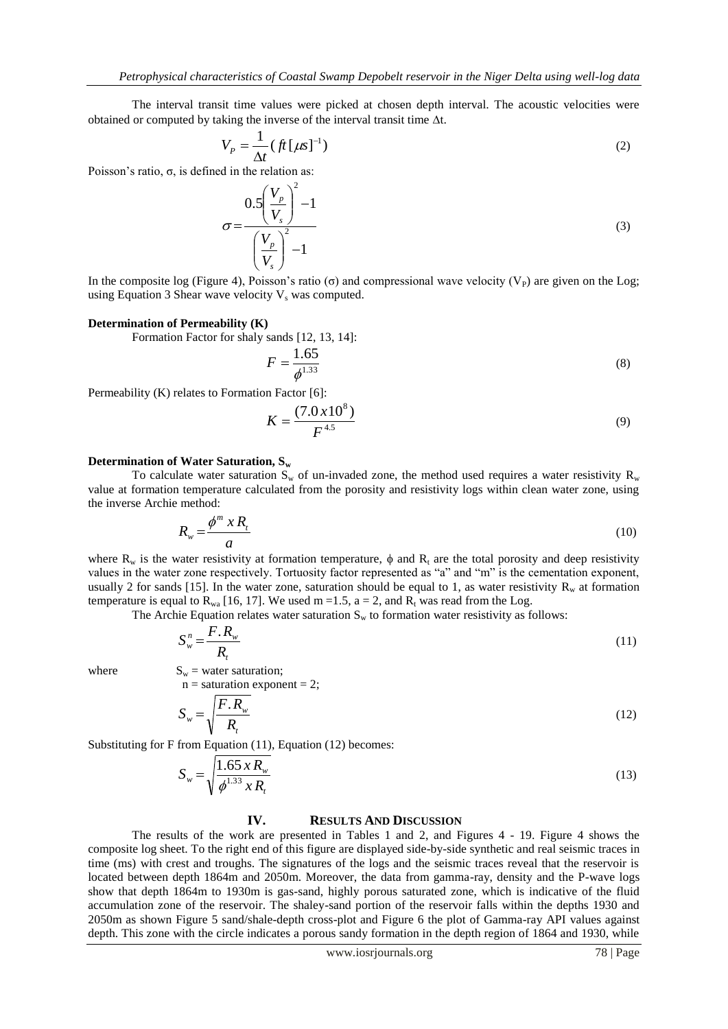The interval transit time values were picked at chosen depth interval. The acoustic velocities were obtained or computed by taking the inverse of the interval transit time  $\Delta t$ .

$$
V_P = \frac{1}{\Delta t} \left( f t \left[ \mu s \right]^{-1} \right) \tag{2}
$$

Poisson's ratio,  $\sigma$ , is defined in the relation as:

$$
\sigma = \frac{0.5 \left(\frac{V_p}{V_s}\right)^2 - 1}{\left(\frac{V_p}{V_s}\right)^2 - 1}
$$
\n(3)

In the composite log (Figure 4), Poisson's ratio ( $\sigma$ ) and compressional wave velocity ( $V_P$ ) are given on the Log; using Equation 3 Shear wave velocity  $V_s$  was computed.

#### **Determination of Permeability (K)**

Formation Factor for shaly sands [12, 13, 14]:

$$
F = \frac{1.65}{\phi^{1.33}}
$$
 (8)

Permeability (K) relates to Formation Factor [6]:

$$
K = \frac{(7.0 \times 10^8)}{F^{4.5}}
$$
 (9)

## **Determination of Water Saturation, S<sup>w</sup>**

To calculate water saturation  $S_w$  of un-invaded zone, the method used requires a water resistivity  $R_w$ value at formation temperature calculated from the porosity and resistivity logs within clean water zone, using the inverse Archie method:

$$
R_w = \frac{\phi^m \; x \, R_t}{a} \tag{10}
$$

where  $R_w$  is the water resistivity at formation temperature,  $\phi$  and  $R_t$  are the total porosity and deep resistivity values in the water zone respectively. Tortuosity factor represented as "a" and "m" is the cementation exponent, usually 2 for sands [15]. In the water zone, saturation should be equal to 1, as water resistivity  $R_w$  at formation temperature is equal to  $R_{wa}$  [16, 17]. We used m =1.5, a = 2, and  $R_t$  was read from the Log.

The Archie Equation relates water saturation  $S_w$  to formation water resistivity as follows:

$$
S_w^n = \frac{F.R_w}{R_t} \tag{11}
$$

where  $S_w$  = water saturation;

 $n =$  saturation exponent = 2;

$$
S_w = \sqrt{\frac{F.R_w}{R_t}}
$$
 (12)

Substituting for F from Equation (11), Equation (12) becomes:

$$
S_w = \sqrt{\frac{1.65 \, x \, R_w}{\phi^{1.33} \, x \, R_t}}
$$
\n(13)

# **IV. RESULTS AND DISCUSSION**

The results of the work are presented in Tables 1 and 2, and Figures 4 - 19. Figure 4 shows the composite log sheet. To the right end of this figure are displayed side-by-side synthetic and real seismic traces in time (ms) with crest and troughs. The signatures of the logs and the seismic traces reveal that the reservoir is located between depth 1864m and 2050m. Moreover, the data from gamma-ray, density and the P-wave logs show that depth 1864m to 1930m is gas-sand, highly porous saturated zone, which is indicative of the fluid accumulation zone of the reservoir. The shaley-sand portion of the reservoir falls within the depths 1930 and 2050m as shown Figure 5 sand/shale-depth cross-plot and Figure 6 the plot of Gamma-ray API values against depth. This zone with the circle indicates a porous sandy formation in the depth region of 1864 and 1930, while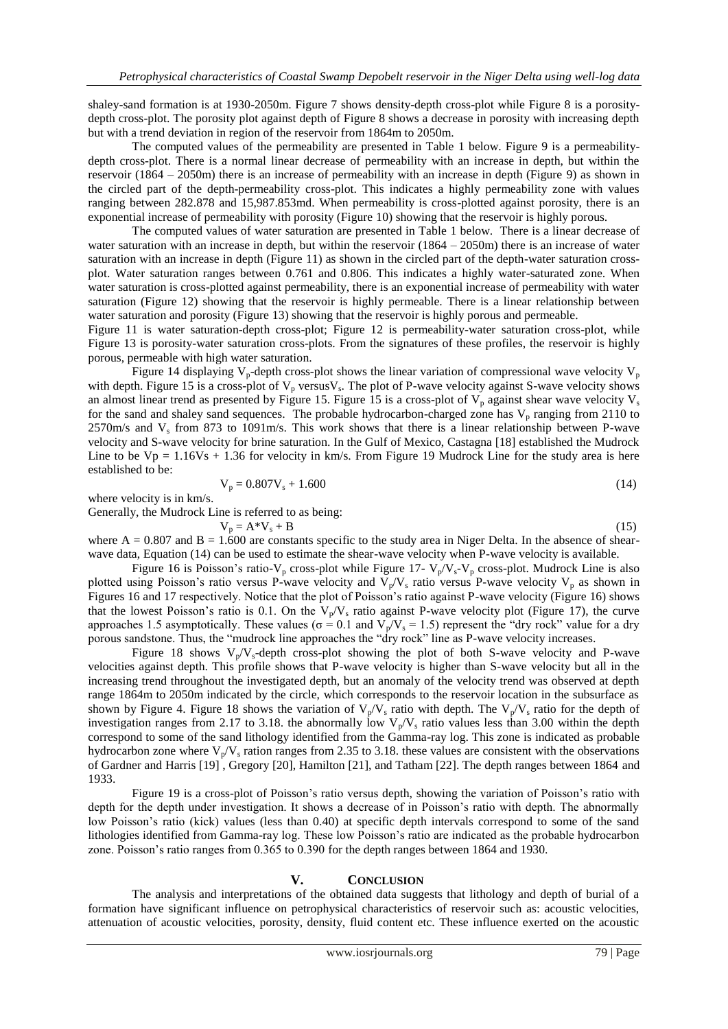shaley-sand formation is at 1930-2050m. Figure 7 shows density-depth cross-plot while Figure 8 is a porositydepth cross-plot. The porosity plot against depth of Figure 8 shows a decrease in porosity with increasing depth but with a trend deviation in region of the reservoir from 1864m to 2050m.

The computed values of the permeability are presented in Table 1 below. Figure 9 is a permeabilitydepth cross-plot. There is a normal linear decrease of permeability with an increase in depth, but within the reservoir (1864 – 2050m) there is an increase of permeability with an increase in depth (Figure 9) as shown in the circled part of the depth-permeability cross-plot. This indicates a highly permeability zone with values ranging between 282.878 and 15,987.853md. When permeability is cross-plotted against porosity, there is an exponential increase of permeability with porosity (Figure 10) showing that the reservoir is highly porous.

The computed values of water saturation are presented in Table 1 below. There is a linear decrease of water saturation with an increase in depth, but within the reservoir (1864 – 2050m) there is an increase of water saturation with an increase in depth (Figure 11) as shown in the circled part of the depth-water saturation crossplot. Water saturation ranges between 0.761 and 0.806. This indicates a highly water-saturated zone. When water saturation is cross-plotted against permeability, there is an exponential increase of permeability with water saturation (Figure 12) showing that the reservoir is highly permeable. There is a linear relationship between water saturation and porosity (Figure 13) showing that the reservoir is highly porous and permeable.

Figure 11 is water saturation-depth cross-plot; Figure 12 is permeability-water saturation cross-plot, while Figure 13 is porosity-water saturation cross-plots. From the signatures of these profiles, the reservoir is highly porous, permeable with high water saturation.

Figure 14 displaying  $V_p$ -depth cross-plot shows the linear variation of compressional wave velocity  $V_p$ with depth. Figure 15 is a cross-plot of  $V_p$  versus $V_s$ . The plot of P-wave velocity against S-wave velocity shows an almost linear trend as presented by Figure 15. Figure 15 is a cross-plot of  $V_p$  against shear wave velocity  $V_s$ for the sand and shaley sand sequences. The probable hydrocarbon-charged zone has  $V_p$  ranging from 2110 to  $2570 \text{m/s}$  and  $V_s$  from 873 to 1091m/s. This work shows that there is a linear relationship between P-wave velocity and S-wave velocity for brine saturation. In the Gulf of Mexico, Castagna [18] established the Mudrock Line to be  $Vp = 1.16Vs + 1.36$  for velocity in km/s. From Figure 19 Mudrock Line for the study area is here established to be:

$$
V_p = 0.807 V_s + 1.600 \tag{14}
$$

where velocity is in km/s.

Generally, the Mudrock Line is referred to as being:  
\n
$$
V_p = A^*V_s + B
$$
\n(15)  
\nwhere  $A = 0.807$  and  $B = 1.600$  are constants, specific to the study area in Niger Dols. In the absence of shear

where  $A = 0.807$  and  $B = 1.600$  are constants specific to the study area in Niger Delta. In the absence of shearwave data, Equation (14) can be used to estimate the shear-wave velocity when P-wave velocity is available.

Figure 16 is Poisson's ratio- $V_p$  cross-plot while Figure 17-  $V_p/V_s-V_p$  cross-plot. Mudrock Line is also plotted using Poisson's ratio versus P-wave velocity and  $V_p/V_s$  ratio versus P-wave velocity  $V_p$  as shown in Figures 16 and 17 respectively. Notice that the plot of Poisson's ratio against P-wave velocity (Figure 16) shows that the lowest Poisson's ratio is 0.1. On the  $V_p/V_s$  ratio against P-wave velocity plot (Figure 17), the curve approaches 1.5 asymptotically. These values ( $\sigma = 0.1$  and  $V_p/V_s = 1.5$ ) represent the "dry rock" value for a dry porous sandstone. Thus, the "mudrock line approaches the "dry rock" line as P-wave velocity increases.

Figure 18 shows  $V_p/V_s$ -depth cross-plot showing the plot of both S-wave velocity and P-wave velocities against depth. This profile shows that P-wave velocity is higher than S-wave velocity but all in the increasing trend throughout the investigated depth, but an anomaly of the velocity trend was observed at depth range 1864m to 2050m indicated by the circle, which corresponds to the reservoir location in the subsurface as shown by Figure 4. Figure 18 shows the variation of  $V_p/V_s$  ratio with depth. The  $V_p/V_s$  ratio for the depth of investigation ranges from 2.17 to 3.18. the abnormally low  $V_p/V_s$  ratio values less than 3.00 within the depth correspond to some of the sand lithology identified from the Gamma-ray log. This zone is indicated as probable hydrocarbon zone where  $V_p/V_s$  ration ranges from 2.35 to 3.18. these values are consistent with the observations of Gardner and Harris [19] , Gregory [20], Hamilton [21], and Tatham [22]. The depth ranges between 1864 and 1933.

Figure 19 is a cross-plot of Poisson's ratio versus depth, showing the variation of Poisson's ratio with depth for the depth under investigation. It shows a decrease of in Poisson's ratio with depth. The abnormally low Poisson's ratio (kick) values (less than 0.40) at specific depth intervals correspond to some of the sand lithologies identified from Gamma-ray log. These low Poisson's ratio are indicated as the probable hydrocarbon zone. Poisson's ratio ranges from 0.365 to 0.390 for the depth ranges between 1864 and 1930.

# **V. CONCLUSION**

The analysis and interpretations of the obtained data suggests that lithology and depth of burial of a formation have significant influence on petrophysical characteristics of reservoir such as: acoustic velocities, attenuation of acoustic velocities, porosity, density, fluid content etc. These influence exerted on the acoustic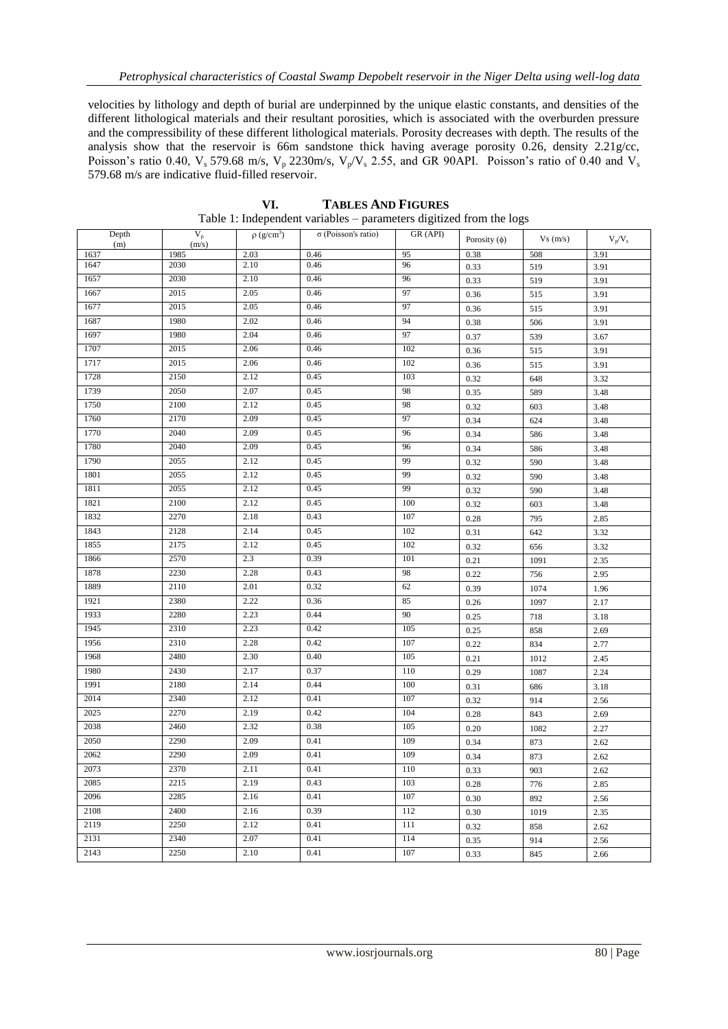velocities by lithology and depth of burial are underpinned by the unique elastic constants, and densities of the different lithological materials and their resultant porosities, which is associated with the overburden pressure and the compressibility of these different lithological materials. Porosity decreases with depth. The results of the analysis show that the reservoir is 66m sandstone thick having average porosity 0.26, density 2.21g/cc, Poisson's ratio 0.40,  $V_s$  579.68 m/s,  $V_p$  2230m/s,  $V_p/V_s$  2.55, and GR 90API. Poisson's ratio of 0.40 and  $V_s$ 579.68 m/s are indicative fluid-filled reservoir.

| Depth<br>(m) | $V_p$<br>(m/s) | $\rho$ (g/cm <sup>3</sup> ) | $\sigma$ (Poisson's ratio) | GR (API) | Porosity $(\phi)$ | Vs(m/s) | $V_p/V_s$ |
|--------------|----------------|-----------------------------|----------------------------|----------|-------------------|---------|-----------|
| 1637         | 1985           | 2.03                        | 0.46                       | 95       | 0.38              | 508     | 3.91      |
| 1647         | 2030           | 2.10                        | 0.46                       | 96       | 0.33              | 519     | 3.91      |
| 1657         | 2030           | 2.10                        | 0.46                       | 96       | 0.33              | 519     | 3.91      |
| 1667         | 2015           | 2.05                        | 0.46                       | 97       | 0.36              | 515     | 3.91      |
| 1677         | 2015           | 2.05                        | 0.46                       | 97       | 0.36              | 515     | 3.91      |
| 1687         | 1980           | 2.02                        | 0.46                       | 94       | 0.38              | 506     | 3.91      |
| 1697         | 1980           | 2.04                        | 0.46                       | 97       | 0.37              | 539     | 3.67      |
| 1707         | 2015           | 2.06                        | 0.46                       | 102      | 0.36              | 515     | 3.91      |
| 1717         | 2015           | 2.06                        | 0.46                       | 102      | 0.36              | 515     | 3.91      |
| 1728         | 2150           | 2.12                        | 0.45                       | 103      | 0.32              | 648     | 3.32      |
| 1739         | 2050           | 2.07                        | 0.45                       | 98       | 0.35              | 589     | 3.48      |
| 1750         | 2100           | 2.12                        | 0.45                       | 98       | 0.32              | 603     | 3.48      |
| 1760         | 2170           | 2.09                        | 0.45                       | 97       | 0.34              | 624     | 3.48      |
| 1770         | 2040           | 2.09                        | 0.45                       | 96       | 0.34              | 586     | 3.48      |
| 1780         | 2040           | 2.09                        | 0.45                       | 96       | 0.34              | 586     | 3.48      |
| 1790         | 2055           | 2.12                        | 0.45                       | 99       | 0.32              | 590     | 3.48      |
| 1801         | 2055           | 2.12                        | 0.45                       | 99       | 0.32              | 590     | 3.48      |
| 1811         | 2055           | 2.12                        | 0.45                       | 99       | 0.32              | 590     | 3.48      |
| 1821         | 2100           | 2.12                        | 0.45                       | 100      | 0.32              | 603     | 3.48      |
| 1832         | 2270           | 2.18                        | 0.43                       | 107      | 0.28              | 795     | 2.85      |
| 1843         | 2128           | 2.14                        | 0.45                       | 102      | 0.31              | 642     | 3.32      |
| 1855         | 2175           | 2.12                        | 0.45                       | 102      | 0.32              | 656     | 3.32      |
| 1866         | 2570           | 2.3                         | 0.39                       | 101      | 0.21              | 1091    | 2.35      |
| 1878         | 2230           | 2.28                        | 0.43                       | 98       | 0.22              | 756     | 2.95      |
| 1889         | 2110           | 2.01                        | 0.32                       | 62       | 0.39              | 1074    | 1.96      |
| 1921         | 2380           | 2.22                        | 0.36                       | 85       | 0.26              | 1097    | 2.17      |
| 1933         | 2280           | 2.23                        | 0.44                       | 90       | 0.25              | 718     | 3.18      |
| 1945         | 2310           | 2.23                        | 0.42                       | 105      | 0.25              | 858     | 2.69      |
| 1956         | 2310           | 2.28                        | 0.42                       | 107      | 0.22              | 834     | 2.77      |
| 1968         | 2480           | 2.30                        | 0.40                       | 105      | 0.21              | 1012    | 2.45      |
| 1980         | 2430           | 2.17                        | 0.37                       | 110      | 0.29              | 1087    | 2.24      |
| 1991         | 2180           | 2.14                        | 0.44                       | 100      | 0.31              | 686     | 3.18      |
| 2014         | 2340           | 2.12                        | 0.41                       | 107      | 0.32              | 914     | 2.56      |
| 2025         | 2270           | 2.19                        | 0.42                       | 104      | 0.28              | 843     | 2.69      |
| 2038         | 2460           | 2.32                        | 0.38                       | 105      | 0.20              | 1082    | 2.27      |
| 2050         | 2290           | 2.09                        | 0.41                       | 109      | 0.34              | 873     | 2.62      |
| 2062         | 2290           | 2.09                        | 0.41                       | 109      | 0.34              | 873     | 2.62      |
| 2073         | 2370           | 2.11                        | 0.41                       | 110      | 0.33              | 903     | 2.62      |
| 2085         | 2215           | 2.19                        | 0.43                       | 103      | 0.28              | 776     | 2.85      |
| 2096         | 2285           | 2.16                        | 0.41                       | 107      | 0.30              | 892     | 2.56      |
| 2108         | 2400           | 2.16                        | 0.39                       | 112      | 0.30              | 1019    | 2.35      |
| 2119         | 2250           | 2.12                        | 0.41                       | 111      | 0.32              | 858     | 2.62      |
| 2131         | 2340           | 2.07                        | 0.41                       | 114      | 0.35              | 914     | 2.56      |
| 2143         | 2250           | 2.10                        | 0.41                       | $107\,$  | 0.33              | 845     | 2.66      |
|              |                |                             |                            |          |                   |         |           |

**VI. TABLES AND FIGURES** Table 1: Independent variables – parameters digitized from the logs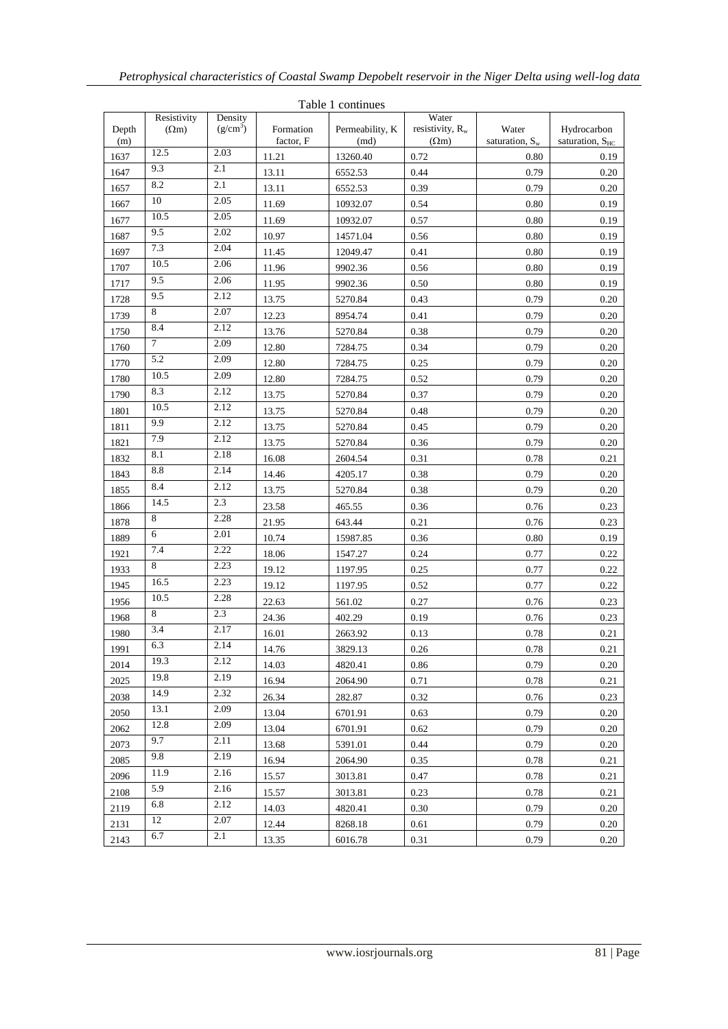| Table 1 continues |                             |                                 |                        |                         |                                                      |                            |                                     |
|-------------------|-----------------------------|---------------------------------|------------------------|-------------------------|------------------------------------------------------|----------------------------|-------------------------------------|
| Depth<br>(m)      | Resistivity<br>$(\Omega m)$ | Density<br>(g/cm <sup>3</sup> ) | Formation<br>factor, F | Permeability, K<br>(md) | Water<br>resistivity, R <sub>w</sub><br>$(\Omega m)$ | Water<br>saturation, $S_w$ | Hydrocarbon<br>saturation, $S_{HC}$ |
| 1637              | 12.5                        | 2.03                            | 11.21                  | 13260.40                | 0.72                                                 | 0.80                       | 0.19                                |
| 1647              | 9.3                         | 2.1                             | 13.11                  | 6552.53                 | 0.44                                                 | 0.79                       | 0.20                                |
| 1657              | 8.2                         | 2.1                             | 13.11                  | 6552.53                 | 0.39                                                 | 0.79                       | 0.20                                |
| 1667              | 10                          | 2.05                            | 11.69                  | 10932.07                | 0.54                                                 | 0.80                       | 0.19                                |
| 1677              | 10.5                        | 2.05                            | 11.69                  | 10932.07                | 0.57                                                 | 0.80                       | 0.19                                |
| 1687              | 9.5                         | 2.02                            | 10.97                  | 14571.04                | 0.56                                                 | 0.80                       | 0.19                                |
| 1697              | 7.3                         | 2.04                            | 11.45                  | 12049.47                | 0.41                                                 | 0.80                       | 0.19                                |
| 1707              | 10.5                        | 2.06                            | 11.96                  | 9902.36                 | 0.56                                                 | 0.80                       | 0.19                                |
| 1717              | 9.5                         | 2.06                            | 11.95                  | 9902.36                 | 0.50                                                 | 0.80                       | 0.19                                |
| 1728              | 9.5                         | 2.12                            | 13.75                  | 5270.84                 | 0.43                                                 | 0.79                       | 0.20                                |
| 1739              | 8                           | 2.07                            | 12.23                  | 8954.74                 | 0.41                                                 | 0.79                       | 0.20                                |
| 1750              | 8.4                         | 2.12                            | 13.76                  | 5270.84                 | 0.38                                                 | 0.79                       | 0.20                                |
| 1760              | 7                           | 2.09                            | 12.80                  | 7284.75                 | 0.34                                                 | 0.79                       | 0.20                                |
| 1770              | 5.2                         | 2.09                            | 12.80                  | 7284.75                 | 0.25                                                 | 0.79                       | 0.20                                |
| 1780              | 10.5                        | 2.09                            | 12.80                  | 7284.75                 | 0.52                                                 | 0.79                       | 0.20                                |
| 1790              | 8.3                         | 2.12                            | 13.75                  | 5270.84                 | 0.37                                                 | 0.79                       | 0.20                                |
| 1801              | 10.5                        | 2.12                            | 13.75                  | 5270.84                 | 0.48                                                 | 0.79                       | 0.20                                |
| 1811              | 9.9                         | 2.12                            | 13.75                  | 5270.84                 | 0.45                                                 | 0.79                       | 0.20                                |
| 1821              | 7.9                         | 2.12                            | 13.75                  | 5270.84                 | 0.36                                                 | 0.79                       | 0.20                                |
| 1832              | 8.1                         | 2.18                            | 16.08                  | 2604.54                 | 0.31                                                 | 0.78                       | 0.21                                |
| 1843              | 8.8                         | 2.14                            | 14.46                  | 4205.17                 | 0.38                                                 | 0.79                       | 0.20                                |
| 1855              | 8.4                         | 2.12                            | 13.75                  | 5270.84                 | 0.38                                                 | 0.79                       | 0.20                                |
| 1866              | 14.5                        | 2.3                             | 23.58                  | 465.55                  | 0.36                                                 | 0.76                       | 0.23                                |
| 1878              | 8                           | 2.28                            | 21.95                  | 643.44                  | 0.21                                                 | 0.76                       | 0.23                                |
| 1889              | 6                           | 2.01                            | 10.74                  | 15987.85                | 0.36                                                 | 0.80                       | 0.19                                |
| 1921              | 7.4                         | 2.22                            | 18.06                  | 1547.27                 | 0.24                                                 | 0.77                       | 0.22                                |
| 1933              | 8                           | 2.23                            | 19.12                  | 1197.95                 | 0.25                                                 | 0.77                       | 0.22                                |
| 1945              | 16.5                        | 2.23                            | 19.12                  | 1197.95                 | 0.52                                                 | 0.77                       | 0.22                                |
| 1956              | 10.5                        | 2.28                            | 22.63                  | 561.02                  | 0.27                                                 | 0.76                       | 0.23                                |
| 1968              | 8                           | 2.3                             | 24.36                  | 402.29                  | 0.19                                                 | 0.76                       | 0.23                                |
| 1980              | 3.4                         | 2.17                            | 16.01                  | 2663.92                 | 0.13                                                 | 0.78                       | 0.21                                |
| 1991              | 6.3                         | 2.14                            | 14.76                  | 3829.13                 | 0.26                                                 | $0.78\,$                   | 0.21                                |
| 2014              | 19.3                        | 2.12                            | 14.03                  | 4820.41                 | 0.86                                                 | 0.79                       | 0.20                                |
| 2025              | 19.8                        | 2.19                            | 16.94                  | 2064.90                 | 0.71                                                 | 0.78                       | 0.21                                |
| 2038              | 14.9                        | 2.32                            | 26.34                  | 282.87                  | 0.32                                                 | 0.76                       | 0.23                                |
| 2050              | 13.1                        | 2.09                            | 13.04                  | 6701.91                 | 0.63                                                 | 0.79                       | 0.20                                |
| 2062              | 12.8                        | 2.09                            | 13.04                  | 6701.91                 | 0.62                                                 | 0.79                       | 0.20                                |
| 2073              | 9.7                         | 2.11                            | 13.68                  | 5391.01                 | 0.44                                                 | 0.79                       | 0.20                                |
| 2085              | 9.8                         | 2.19                            | 16.94                  | 2064.90                 | 0.35                                                 | 0.78                       | 0.21                                |
| 2096              | 11.9                        | 2.16                            | 15.57                  | 3013.81                 | 0.47                                                 | 0.78                       | 0.21                                |
| 2108              | 5.9                         | 2.16                            | 15.57                  | 3013.81                 | 0.23                                                 | 0.78                       | 0.21                                |
| 2119              | 6.8                         | 2.12                            | 14.03                  | 4820.41                 | 0.30                                                 | 0.79                       | 0.20                                |
| 2131              | 12                          | 2.07                            | 12.44                  | 8268.18                 | 0.61                                                 | 0.79                       | 0.20                                |
| 2143              | 6.7                         | 2.1                             | 13.35                  | 6016.78                 | 0.31                                                 | 0.79                       | 0.20                                |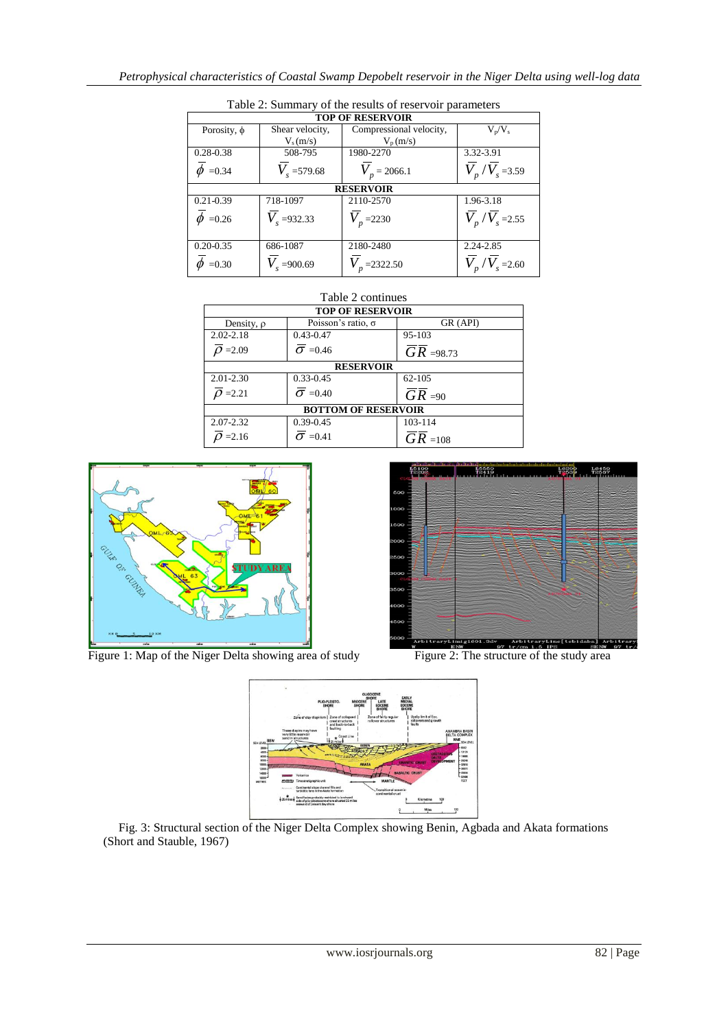| <b>TOP OF RESERVOIR</b> |                      |                         |                                           |  |  |  |  |
|-------------------------|----------------------|-------------------------|-------------------------------------------|--|--|--|--|
| Porosity, $\phi$        | Shear velocity,      | Compressional velocity, | $V_p/V_s$                                 |  |  |  |  |
|                         | $V_s(m/s)$           | $V_p(m/s)$              |                                           |  |  |  |  |
| 0.28-0.38               | 508-795              | 1980-2270               | 3.32-3.91                                 |  |  |  |  |
| $\phi$ =0.34            | $V_{\rm s}$ =579.68  | $V_{n}$ = 2066.1        | $V_p/V_s = 3.59$                          |  |  |  |  |
| <b>RESERVOIR</b>        |                      |                         |                                           |  |  |  |  |
| $0.21 - 0.39$           | 718-1097             | 2110-2570               | 1.96-3.18                                 |  |  |  |  |
| $\phi$ =0.26            | $V_{s} = 932.33$     | $V_{p}$ =2230           | $\overline{V}_p$ / $\overline{V}_s$ =2.55 |  |  |  |  |
| $0.20 - 0.35$           | 686-1087             | 2180-2480               | 2.24-2.85                                 |  |  |  |  |
| $\phi$ =0.30            | $V_{\rm s} = 900.69$ | 2322.50                 | $V_p/V_s$ = 2.60                          |  |  |  |  |

Table 2: Summary of the results of reservoir parameters

# Table 2 continues

| <b>TOP OF RESERVOIR</b>    |                           |                      |  |  |  |
|----------------------------|---------------------------|----------------------|--|--|--|
| Density, $\rho$            | Poisson's ratio, $\sigma$ | GR (API)             |  |  |  |
| $2.02 - 2.18$              | $0.43 - 0.47$             | 95-103               |  |  |  |
| $\rho = 2.09$              | $\sigma$ =0.46            | $GR = 98.73$         |  |  |  |
| <b>RESERVOIR</b>           |                           |                      |  |  |  |
| $2.01 - 2.30$              | $0.33 - 0.45$             | 62-105               |  |  |  |
| $\overline{\rho}$ =2.21    | $\sigma$ =0.40            | $GR = 90$            |  |  |  |
| <b>BOTTOM OF RESERVOIR</b> |                           |                      |  |  |  |
| 2.07-2.32                  | $0.39 - 0.45$             | 103-114              |  |  |  |
| $Q = 2.16$                 | $\sigma$ =0.41            | $\overline{GR}$ =108 |  |  |  |



Figure 1: Map of the Niger Delta showing area of study Figure 2: The structure of the study area





Fig. 3: Structural section of the Niger Delta Complex showing Benin, Agbada and Akata formations (Short and Stauble, 1967)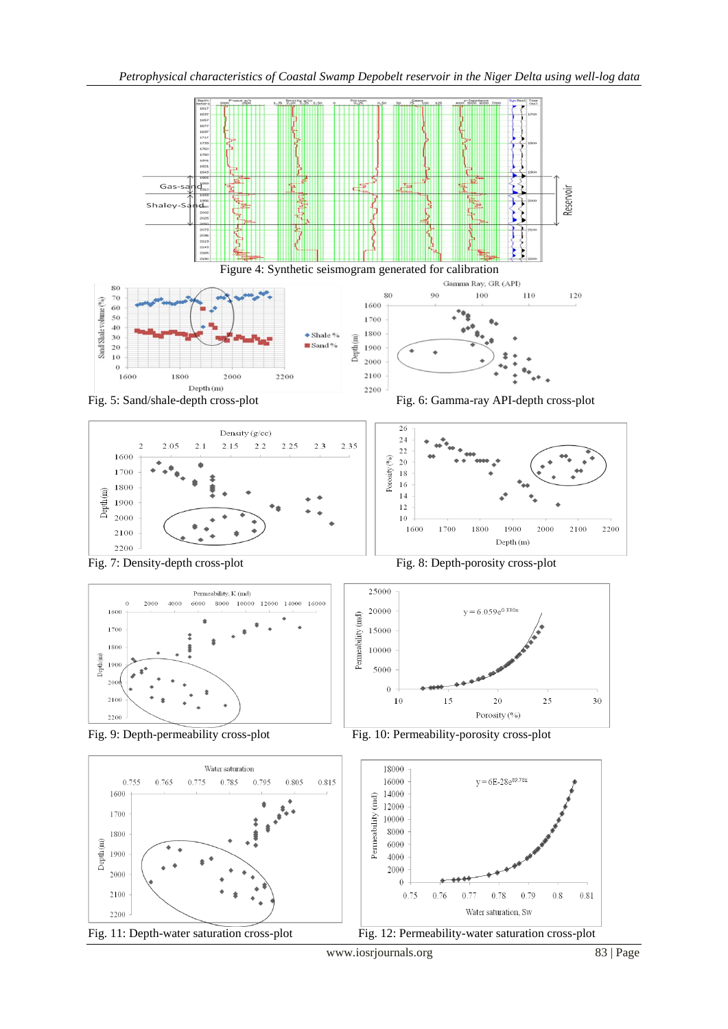

 $\overline{a}$ Fig. 11: Depth-water saturation cross-plot Fig. 12: Permeability-water saturation cross-plot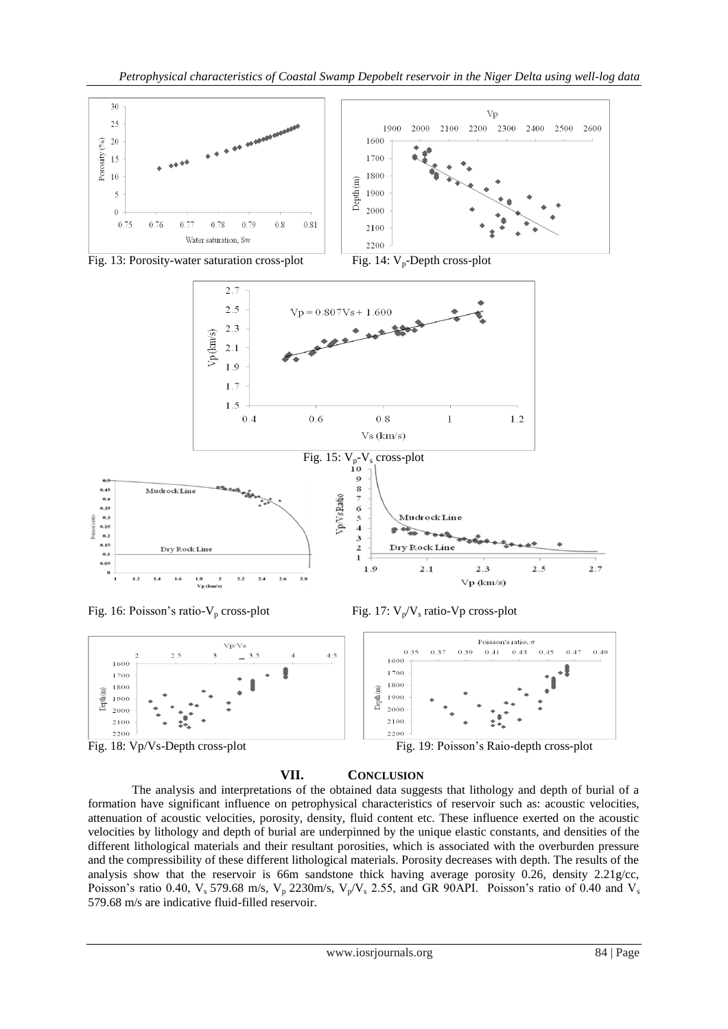















The analysis and interpretations of the obtained data suggests that lithology and depth of burial of a formation have significant influence on petrophysical characteristics of reservoir such as: acoustic velocities, attenuation of acoustic velocities, porosity, density, fluid content etc. These influence exerted on the acoustic velocities by lithology and depth of burial are underpinned by the unique elastic constants, and densities of the different lithological materials and their resultant porosities, which is associated with the overburden pressure and the compressibility of these different lithological materials. Porosity decreases with depth. The results of the analysis show that the reservoir is 66m sandstone thick having average porosity 0.26, density 2.21g/cc, Poisson's ratio 0.40,  $V_s$  579.68 m/s,  $V_p$  2230m/s,  $V_p/V_s$  2.55, and GR 90API. Poisson's ratio of 0.40 and  $V_s$ 579.68 m/s are indicative fluid-filled reservoir.